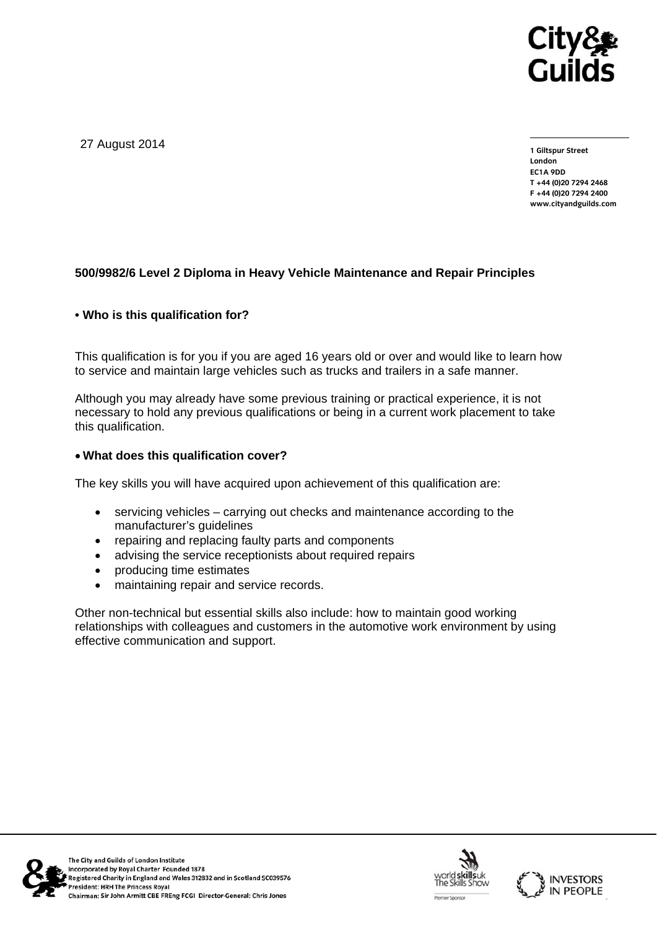

27 August 2014

**1 Giltspur Street London EC1A 9DD T +44 (0)20 7294 2468 F +44 (0)20 7294 2400 www.cityandguilds.com** 

## **500/9982/6 Level 2 Diploma in Heavy Vehicle Maintenance and Repair Principles**

### **• Who is this qualification for?**

This qualification is for you if you are aged 16 years old or over and would like to learn how to service and maintain large vehicles such as trucks and trailers in a safe manner.

Although you may already have some previous training or practical experience, it is not necessary to hold any previous qualifications or being in a current work placement to take this qualification.

### **What does this qualification cover?**

The key skills you will have acquired upon achievement of this qualification are:

- servicing vehicles carrying out checks and maintenance according to the manufacturer's guidelines
- repairing and replacing faulty parts and components
- advising the service receptionists about required repairs
- producing time estimates
- maintaining repair and service records.

Other non-technical but essential skills also include: how to maintain good working relationships with colleagues and customers in the automotive work environment by using effective communication and support.